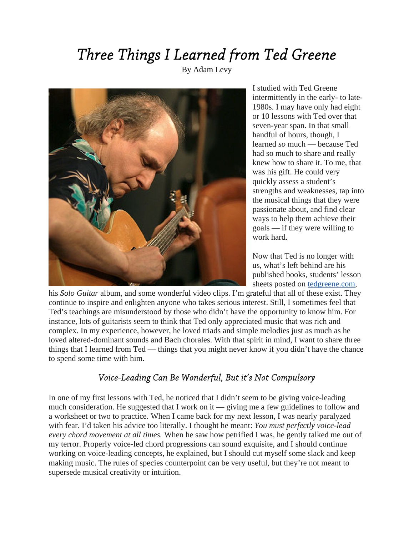## *Three Things I Learned from Ted Greene*

By Adam Levy



I studied with Ted Greene intermittently in the early- to late-1980s. I may have only had eight or 10 lessons with Ted over that seven-year span. In that small handful of hours, though, I learned *so* much — because Ted had so much to share and really knew how to share it. To me, that was his gift. He could very quickly assess a student's strengths and weaknesses, tap into the musical things that they were passionate about, and find clear ways to help them achieve their goals — if they were willing to work hard.

Now that Ted is no longer with us, what's left behind are his published books, students' lesson sheets posted on [tedgreene.com,](http://tedgreene.com/)

his *Solo Guitar* album, and some wonderful video clips. I'm grateful that all of these exist. They continue to inspire and enlighten anyone who takes serious interest. Still, I sometimes feel that Ted's teachings are misunderstood by those who didn't have the opportunity to know him. For instance, lots of guitarists seem to think that Ted only appreciated music that was rich and complex. In my experience, however, he loved triads and simple melodies just as much as he loved altered-dominant sounds and Bach chorales. With that spirit in mind, I want to share three things that I learned from Ted — things that you might never know if you didn't have the chance to spend some time with him.

## *Voice-Leading Can Be Wonderful, But it's Not Compulsory*

In one of my first lessons with Ted, he noticed that I didn't seem to be giving voice-leading much consideration. He suggested that I work on it — giving me a few guidelines to follow and a worksheet or two to practice. When I came back for my next lesson, I was nearly paralyzed with fear. I'd taken his advice too literally. I thought he meant: *You must perfectly voice-lead every chord movement at all times.* When he saw how petrified I was, he gently talked me out of my terror. Properly voice-led chord progressions can sound exquisite, and I should continue working on voice-leading concepts, he explained, but I should cut myself some slack and keep making music. The rules of species counterpoint can be very useful, but they're not meant to supersede musical creativity or intuition.